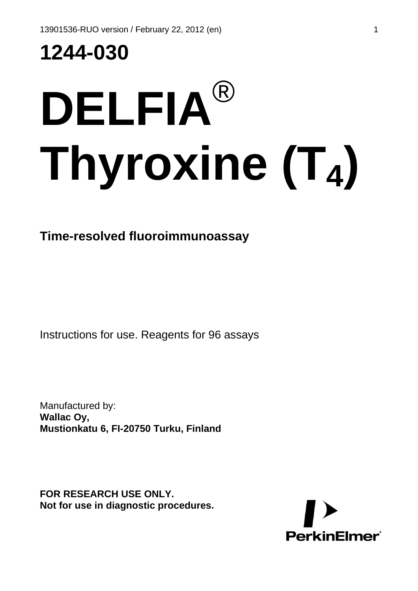**1244-030**

# **DELFIA**® **Thyroxine (T4)**

# **Time-resolved fluoroimmunoassay**

Instructions for use. Reagents for 96 assays

Manufactured by: **Wallac Oy, Mustionkatu 6, FI-20750 Turku, Finland**

**FOR RESEARCH USE ONLY. Not for use in diagnostic procedures.** 

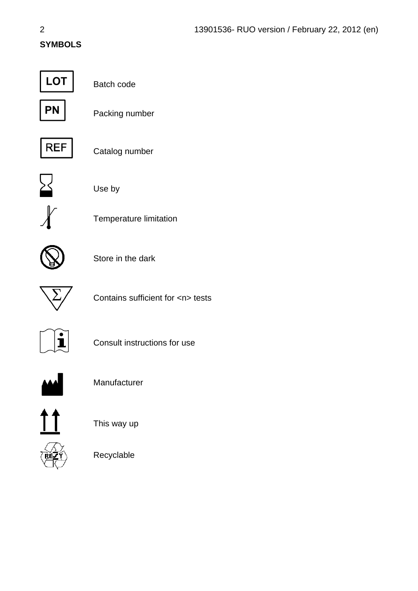## **SYMBOLS**



Batch code



Packing number



Catalog number



Use by



Temperature limitation



Store in the dark



Contains sufficient for <n> tests



Consult instructions for use



Manufacturer



This way up



Recyclable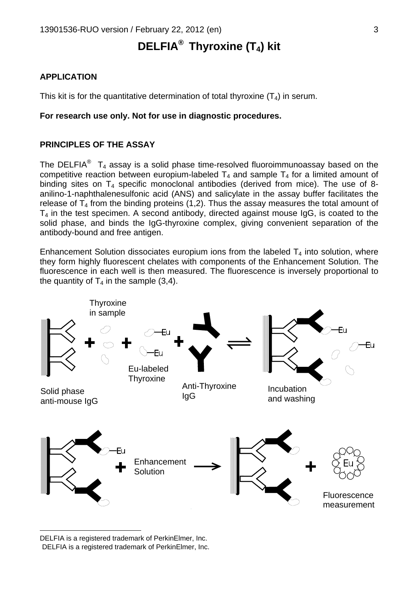# **DELFIA®**  **Thyroxine (T4) kit**

#### **APPLICATION**

This kit is for the quantitative determination of total thyroxine  $(T_4)$  in serum.

#### **For research use only. Not for use in diagnostic procedures.**

#### **PRINCIPLES OF THE ASSAY**

TheDELFIA<sup>®</sup> T<sub>4</sub> assay is a solid phase time-resolved fluoroimmunoassay based on the competitive reaction between europium-labeled  $T_4$  and sample  $T_4$  for a limited amount of binding sites on  $T_4$  specific monoclonal antibodies (derived from mice). The use of 8anilino-1-naphthalenesulfonic acid (ANS) and salicylate in the assay buffer facilitates the release of  $T_4$  from the binding proteins (1,2). Thus the assay measures the total amount of  $T_4$  in the test specimen. A second antibody, directed against mouse  $I_qG$ , is coated to the solid phase, and binds the IgG-thyroxine complex, giving convenient separation of the antibody-bound and free antigen.

Enhancement Solution dissociates europium ions from the labeled  $T_4$  into solution, where they form highly fluorescent chelates with components of the Enhancement Solution. The fluorescence in each well is then measured. The fluorescence is inversely proportional to the quantity of  $T_4$  in the sample (3.4).



<span id="page-2-1"></span><span id="page-2-0"></span>DELFIA is a registered trademark of PerkinElmer, Inc.<br>DELFIA is a registered trademark of PerkinElmer, Inc.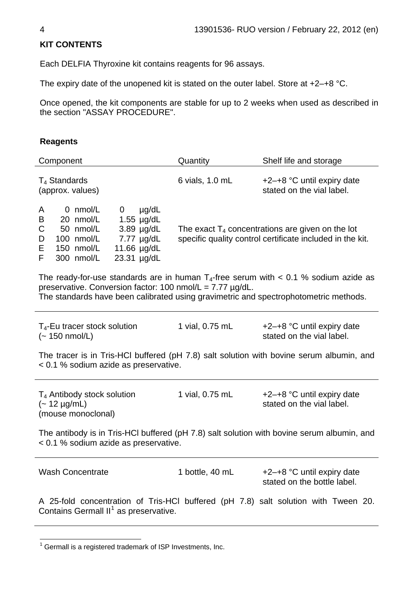### **KIT CONTENTS**

Each DELFIA Thyroxine kit contains reagents for 96 assays.

The expiry date of the unopened kit is stated on the outer label. Store at +2–+8 °C.

Once opened, the kit components are stable for up to 2 weeks when used as described in the section "ASSAY PROCEDURE".

#### **Reagents**

| Component                                                                                                                                                                                                                                    | Quantity                                                                                                         | Shelf life and storage                                    |  |  |  |
|----------------------------------------------------------------------------------------------------------------------------------------------------------------------------------------------------------------------------------------------|------------------------------------------------------------------------------------------------------------------|-----------------------------------------------------------|--|--|--|
| $T_4$ Standards<br>(approx. values)                                                                                                                                                                                                          | 6 vials, 1.0 mL                                                                                                  | +2-+8 °C until expiry date<br>stated on the vial label.   |  |  |  |
| 0 nmol/L<br>µg/dL<br>$\mathbf{0}$<br>A<br>B<br>20 nmol/L<br>$1.55 \mu g/dL$<br>C<br>$3.89$ µg/dL<br>50 nmol/L<br>100 nmol/L<br>$7.77 \mu g/dL$<br>D<br>Е<br>150 nmol/L<br>11.66 µg/dL<br>F<br>300 nmol/L<br>23.31 µg/dL                      | The exact $T_4$ concentrations are given on the lot<br>specific quality control certificate included in the kit. |                                                           |  |  |  |
| The ready-for-use standards are in human $T_4$ -free serum with < 0.1 % sodium azide as<br>preservative. Conversion factor: 100 nmol/L = 7.77 µg/dL.<br>The standards have been calibrated using gravimetric and spectrophotometric methods. |                                                                                                                  |                                                           |  |  |  |
| $T_4$ -Eu tracer stock solution<br>$(-150 \text{ nmol/L})$                                                                                                                                                                                   | 1 vial, 0.75 mL                                                                                                  | +2-+8 °C until expiry date<br>stated on the vial label.   |  |  |  |
| The tracer is in Tris-HCI buffered (pH 7.8) salt solution with bovine serum albumin, and<br>< 0.1 % sodium azide as preservative.                                                                                                            |                                                                                                                  |                                                           |  |  |  |
| T <sub>4</sub> Antibody stock solution<br>$(-12 \mu g/mL)$<br>(mouse monoclonal)                                                                                                                                                             | 1 vial, 0.75 mL                                                                                                  | +2-+8 °C until expiry date<br>stated on the vial label.   |  |  |  |
| The antibody is in Tris-HCI buffered (pH 7.8) salt solution with bovine serum albumin, and<br>< 0.1 % sodium azide as preservative.                                                                                                          |                                                                                                                  |                                                           |  |  |  |
| <b>Wash Concentrate</b>                                                                                                                                                                                                                      | 1 bottle, 40 mL                                                                                                  | +2-+8 °C until expiry date<br>stated on the bottle label. |  |  |  |
| A 25-fold concentration of Tris-HCl buffered (pH 7.8) salt solution with Tween 20.<br>Contains Germall II <sup>1</sup> as preservative.                                                                                                      |                                                                                                                  |                                                           |  |  |  |

<span id="page-3-0"></span><sup>————————————————————&</sup>lt;br><sup>1</sup> Germall is a registered trademark of ISP Investments, Inc.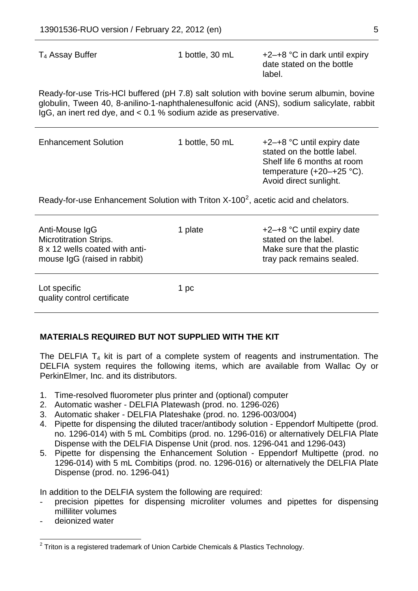$T_4$  Assay Buffer 1 bottle, 30 mL  $+2-+8$  °C in dark until expiry date stated on the bottle label. Ready-for-use Tris-HCl buffered (pH 7.8) salt solution with bovine serum albumin, bovine globulin, Tween 40, 8-anilino-1-naphthalenesulfonic acid (ANS), sodium salicylate, rabbit IgG, an inert red dye, and < 0.1 % sodium azide as preservative. Enhancement Solution 1 bottle, 50 mL +2-+8 °C until expiry date stated on the bottle label.

Ready-for-use Enhancement Solution with Triton  $X-100^2$  $X-100^2$ , acetic acid and chelators.

| Anti-Mouse IgG<br><b>Microtitration Strips.</b><br>8 x 12 wells coated with anti-<br>mouse IgG (raised in rabbit) | 1 plate | +2-+8 °C until expiry date<br>stated on the label.<br>Make sure that the plastic<br>tray pack remains sealed. |
|-------------------------------------------------------------------------------------------------------------------|---------|---------------------------------------------------------------------------------------------------------------|
| Lot specific<br>quality control certificate                                                                       | 1 pc    |                                                                                                               |

#### **MATERIALS REQUIRED BUT NOT SUPPLIED WITH THE KIT**

The DELFIA  $T_4$  kit is part of a complete system of reagents and instrumentation. The DELFIA system requires the following items, which are available from Wallac Oy or PerkinElmer, Inc. and its distributors.

- 1. Time-resolved fluorometer plus printer and (optional) computer
- 2. Automatic washer DELFIA Platewash (prod. no. 1296-026)
- 3. Automatic shaker DELFIA Plateshake (prod. no. 1296-003/004)
- 4. Pipette for dispensing the diluted tracer/antibody solution Eppendorf Multipette (prod. no. 1296-014) with 5 mL Combitips (prod. no. 1296-016) or alternatively DELFIA Plate Dispense with the DELFIA Dispense Unit (prod. nos. 1296-041 and 1296-043)
- 5. Pipette for dispensing the Enhancement Solution Eppendorf Multipette (prod. no 1296-014) with 5 mL Combitips (prod. no. 1296-016) or alternatively the DELFIA Plate Dispense (prod. no. 1296-041)

In addition to the DELFIA system the following are required:

- precision pipettes for dispensing microliter volumes and pipettes for dispensing milliliter volumes
- deionized water

l

Shelf life 6 months at room temperature (+20–+25 °C).

Avoid direct sunlight.

<span id="page-4-0"></span> $2$  Triton is a registered trademark of Union Carbide Chemicals & Plastics Technology.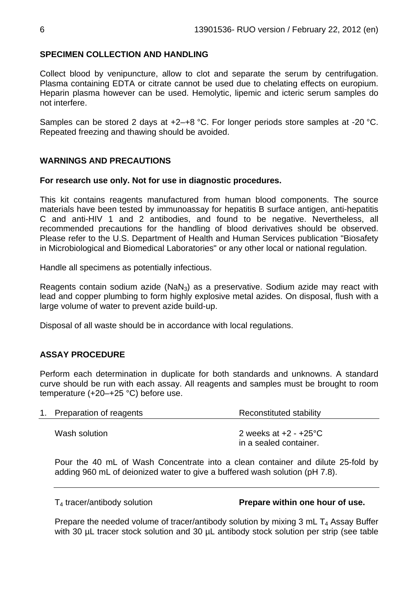#### **SPECIMEN COLLECTION AND HANDLING**

Collect blood by venipuncture, allow to clot and separate the serum by centrifugation. Plasma containing EDTA or citrate cannot be used due to chelating effects on europium. Heparin plasma however can be used. Hemolytic, lipemic and icteric serum samples do not interfere.

Samples can be stored 2 days at +2–+8 °C. For longer periods store samples at -20 °C. Repeated freezing and thawing should be avoided.

#### **WARNINGS AND PRECAUTIONS**

#### **For research use only. Not for use in diagnostic procedures.**

This kit contains reagents manufactured from human blood components. The source materials have been tested by immunoassay for hepatitis B surface antigen, anti-hepatitis C and anti-HIV 1 and 2 antibodies, and found to be negative. Nevertheless, all recommended precautions for the handling of blood derivatives should be observed. Please refer to the U.S. Department of Health and Human Services publication "Biosafety in Microbiological and Biomedical Laboratories" or any other local or national regulation.

Handle all specimens as potentially infectious.

Reagents contain sodium azide (NaN<sub>3</sub>) as a preservative. Sodium azide may react with lead and copper plumbing to form highly explosive metal azides. On disposal, flush with a large volume of water to prevent azide build-up.

Disposal of all waste should be in accordance with local regulations.

#### **ASSAY PROCEDURE**

Perform each determination in duplicate for both standards and unknowns. A standard curve should be run with each assay. All reagents and samples must be brought to room temperature (+20–+25 °C) before use.

| 1. Preparation of reagents | Reconstituted stability                                     |  |  |
|----------------------------|-------------------------------------------------------------|--|--|
| Wash solution              | 2 weeks at $+2$ - $+25^{\circ}$ C<br>in a sealed container. |  |  |

Pour the 40 mL of Wash Concentrate into a clean container and dilute 25-fold by adding 960 mL of deionized water to give a buffered wash solution (pH 7.8).

#### T4 tracer/antibody solution **Prepare within one hour of use.**

Prepare the needed volume of tracer/antibody solution by mixing  $3 \text{ mL } T_4$  Assay Buffer with 30 µL tracer stock solution and 30 µL antibody stock solution per strip (see table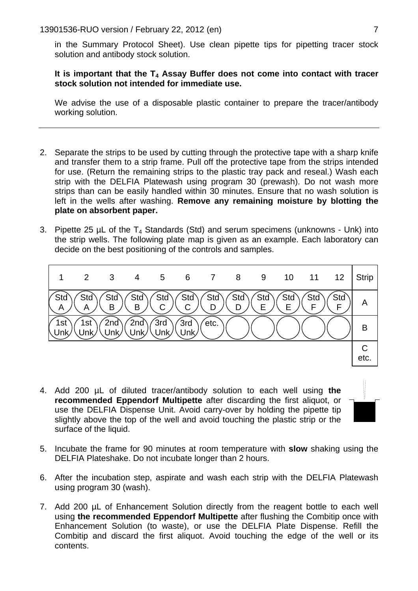in the Summary Protocol Sheet). Use clean pipette tips for pipetting tracer stock solution and antibody stock solution.

#### It is important that the T<sub>4</sub> Assay Buffer does not come into contact with tracer **stock solution not intended for immediate use.**

We advise the use of a disposable plastic container to prepare the tracer/antibody working solution.

- 2. Separate the strips to be used by cutting through the protective tape with a sharp knife and transfer them to a strip frame. Pull off the protective tape from the strips intended for use. (Return the remaining strips to the plastic tray pack and reseal.) Wash each strip with the DELFIA Platewash using program 30 (prewash). Do not wash more strips than can be easily handled within 30 minutes. Ensure that no wash solution is left in the wells after washing. **Remove any remaining moisture by blotting the plate on absorbent paper.**
- 3. Pipette 25 uL of the  $T_4$  Standards (Std) and serum specimens (unknowns Unk) into the strip wells. The following plate map is given as an example. Each laboratory can decide on the best positioning of the controls and samples.



- 4. Add 200 µL of diluted tracer/antibody solution to each well using **the recommended Eppendorf Multipette** after discarding the first aliquot, or use the DELFIA Dispense Unit. Avoid carry-over by holding the pipette tip slightly above the top of the well and avoid touching the plastic strip or the surface of the liquid.
- 
- 5. Incubate the frame for 90 minutes at room temperature with **slow** shaking using the DELFIA Plateshake. Do not incubate longer than 2 hours.
- 6. After the incubation step, aspirate and wash each strip with the DELFIA Platewash using program 30 (wash).
- 7. Add 200 µL of Enhancement Solution directly from the reagent bottle to each well using **the recommended Eppendorf Multipette** after flushing the Combitip once with Enhancement Solution (to waste), or use the DELFIA Plate Dispense. Refill the Combitip and discard the first aliquot. Avoid touching the edge of the well or its contents.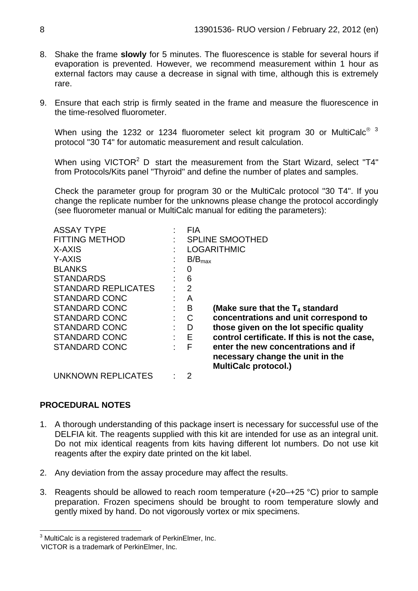- 8. Shake the frame **slowly** for 5 minutes. The fluorescence is stable for several hours if evaporation is prevented. However, we recommend measurement within 1 hour as external factors may cause a decrease in signal with time, although this is extremely rare.
- 9. Ensure that each strip is firmly seated in the frame and measure the fluorescence in the time-resolved fluorometer.

When using the 12[3](#page-7-0)2 or 1234 fluorometer select kit program 30 or MultiCalc<sup>® 3</sup> protocol "30 T4" for automatic measurement and result calculation.

When using VICTOR<sup>2</sup> D start the measurement from the Start Wizard, select "T4" from Protocols/Kits panel "Thyroid" and define the number of plates and samples.

Check the parameter group for program 30 or the MultiCalc protocol "30 T4". If you change the replicate number for the unknowns please change the protocol accordingly (see fluorometer manual or MultiCalc manual for editing the parameters):

| <b>ASSAY TYPE</b>          |    | <b>FIA</b>         |                                               |
|----------------------------|----|--------------------|-----------------------------------------------|
| <b>FITTING METHOD</b>      |    |                    | <b>SPLINE SMOOTHED</b>                        |
| X-AXIS                     |    | <b>LOGARITHMIC</b> |                                               |
| Y-AXIS                     |    | $B/B_{max}$        |                                               |
| <b>BLANKS</b>              |    | 0                  |                                               |
| <b>STANDARDS</b>           |    | 6                  |                                               |
| <b>STANDARD REPLICATES</b> |    | $\overline{2}$     |                                               |
| <b>STANDARD CONC</b>       |    | A                  |                                               |
| <b>STANDARD CONC</b>       |    | B                  | (Make sure that the $T_4$ standard            |
| <b>STANDARD CONC</b>       | ÷  | C                  | concentrations and unit correspond to         |
| STANDARD CONC              |    | D                  | those given on the lot specific quality       |
| STANDARD CONC              |    | $-E$               | control certificate. If this is not the case, |
| STANDARD CONC              | ۰. | F                  | enter the new concentrations and if           |
|                            |    |                    | necessary change the unit in the              |
|                            |    |                    | <b>MultiCalc protocol.)</b>                   |
| UNKNOWN REPLICATES         |    | 2                  |                                               |

#### **PROCEDURAL NOTES**

- 1. A thorough understanding of this package insert is necessary for successful use of the DELFIA kit. The reagents supplied with this kit are intended for use as an integral unit. Do not mix identical reagents from kits having different lot numbers. Do not use kit reagents after the expiry date printed on the kit label.
- 2. Any deviation from the assay procedure may affect the results.
- 3. Reagents should be allowed to reach room temperature (+20–+25 °C) prior to sample preparation. Frozen specimens should be brought to room temperature slowly and gently mixed by hand. Do not vigorously vortex or mix specimens.

 3 MultiCalc is a registered trademark of PerkinElmer, Inc.

<span id="page-7-1"></span><span id="page-7-0"></span>VICTOR is a trademark of PerkinElmer, Inc.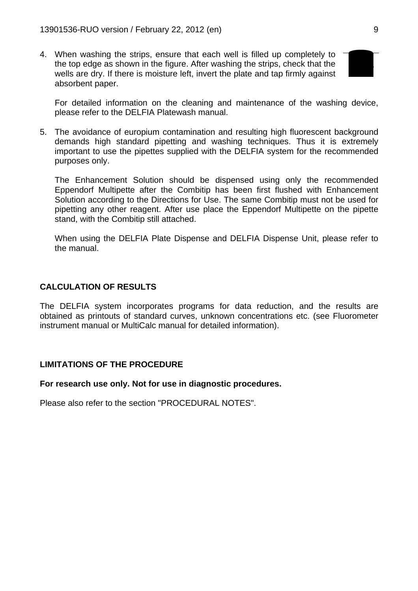4. When washing the strips, ensure that each well is filled up completely to the top edge as shown in the figure. After washing the strips, check that the wells are dry. If there is moisture left, invert the plate and tap firmly against absorbent paper.



For detailed information on the cleaning and maintenance of the washing device, please refer to the DELFIA Platewash manual.

5. The avoidance of europium contamination and resulting high fluorescent background demands high standard pipetting and washing techniques. Thus it is extremely important to use the pipettes supplied with the DELFIA system for the recommended purposes only.

The Enhancement Solution should be dispensed using only the recommended Eppendorf Multipette after the Combitip has been first flushed with Enhancement Solution according to the Directions for Use. The same Combitip must not be used for pipetting any other reagent. After use place the Eppendorf Multipette on the pipette stand, with the Combitip still attached.

When using the DELFIA Plate Dispense and DELFIA Dispense Unit, please refer to the manual.

#### **CALCULATION OF RESULTS**

The DELFIA system incorporates programs for data reduction, and the results are obtained as printouts of standard curves, unknown concentrations etc. (see Fluorometer instrument manual or MultiCalc manual for detailed information).

#### **LIMITATIONS OF THE PROCEDURE**

#### **For research use only. Not for use in diagnostic procedures.**

Please also refer to the section "PROCEDURAL NOTES".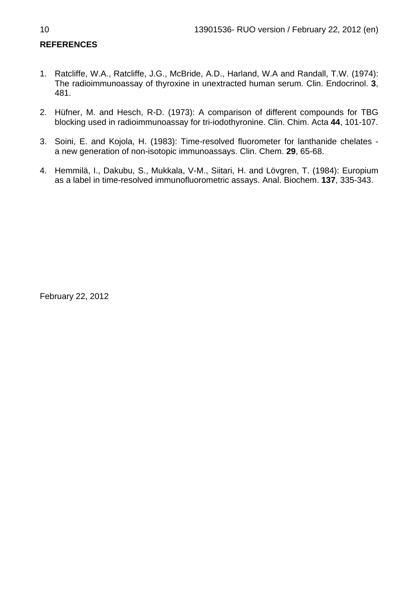## **REFERENCES**

- 1. Ratcliffe, W.A., Ratcliffe, J.G., McBride, A.D., Harland, W.A and Randall, T.W. (1974): The radioimmunoassay of thyroxine in unextracted human serum. Clin. Endocrinol. **3**, 481.
- 2. Hüfner, M. and Hesch, R-D. (1973): A comparison of different compounds for TBG blocking used in radioimmunoassay for tri-iodothyronine. Clin. Chim. Acta **44**, 101-107.
- 3. Soini, E. and Kojola, H. (1983): Time-resolved fluorometer for lanthanide chelates a new generation of non-isotopic immunoassays. Clin. Chem. **29**, 65-68.
- 4. Hemmilä, I., Dakubu, S., Mukkala, V-M., Siitari, H. and Lövgren, T. (1984): Europium as a label in time-resolved immunofluorometric assays. Anal. Biochem. **137**, 335-343.

February 22, 2012